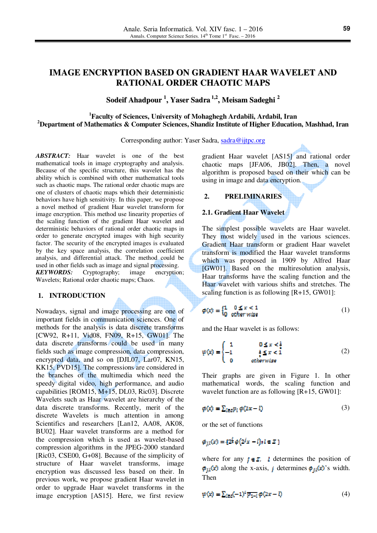# **IMAGE ENCRYPTION BASED ON GRADIENT HAAR WAVELET AND RATIONAL ORDER CHAOTIC MAPS**

# **Sodeif Ahadpour 1 , Yaser Sadra 1,2 , Meisam Sadeghi 2**

# **<sup>1</sup>Faculty of Sciences, University of Mohaghegh Ardabili, Ardabil, Iran <sup>2</sup>Department of Mathematics & Computer Sciences, Shandiz Institute of Higher Education, Mashhad, Iran**

Corresponding author: Yaser Sadra, sadra@ijtpc.org

*ABSTRACT:* Haar wavelet is one of the best mathematical tools in image cryptography and analysis. Because of the specific structure, this wavelet has the ability which is combined with other mathematical tools such as chaotic maps. The rational order chaotic maps are one of clusters of chaotic maps which their deterministic behaviors have high sensitivity. In this paper, we propose a novel method of gradient Haar wavelet transform for image encryption. This method use linearity properties of the scaling function of the gradient Haar wavelet and deterministic behaviors of rational order chaotic maps in order to generate encrypted images with high security factor. The security of the encrypted images is evaluated by the key space analysis, the correlation coefficient analysis, and differential attack. The method could be used in other fields such as image and signal processing. *KEYWORDS:* Cryptography; image encryption; Wavelets; Rational order chaotic maps; Chaos.

# **1. INTRODUCTION**

Nowadays, signal and image processing are one of important fields in communication sciences. One of methods for the analysis is data discrete transforms [CW92, R+11, Vid08, FN09, R+15, GW01]. The data discrete transforms could be used in many fields such as image compression, data compression, encrypted data, and so on [DJL07, Lar07, KN15, KK15, PVD15]. The compressions are considered in the branches of the multimedia which need the speedy digital video, high performance, and audio capabilities [ROM15, M+15, DL03, Ric03]. Discrete Wavelets such as Haar wavelet are hierarchy of the data discrete transforms. Recently, merit of the discrete Wavelets is much attention in among Scientifics and researchers [Lan12, AA08, AK08, BU02]. Haar wavelet transforms are a method for the compression which is used as wavelet-based compression algorithms in the JPEG-2000 standard [Ric03, CSE00, G+08]. Because of the simplicity of structure of Haar wavelet transforms, image encryption was discussed less based on their. In previous work, we propose gradient Haar wavelet in order to upgrade Haar wavelet transforms in the image encryption [AS15]. Here, we first review

gradient Haar wavelet [AS15] and rational order chaotic maps [JFA06, JB02]. Then, a novel algorithm is proposed based on their which can be using in image and data encryption.

# **2. PRELIMINARIES**

### **2.1. Gradient Haar Wavelet**

The simplest possible wavelets are Haar wavelet. They most widely used in the various sciences. Gradient Haar transform or gradient Haar wavelet transform is modified the Haar wavelet transforms which was proposed in 1909 by Alfred Haar [GW01]. Based on the multiresolution analysis, Haar transforms have the scaling function and the Haar wavelet with various shifts and stretches. The scaling function is as following [R+15, GW01]:

$$
\varphi(x) = \begin{cases} 1 & 0 \le x < 1 \\ 0 & \text{other wise} \end{cases} \tag{1}
$$

and the Haar wavelet is as follows:

$$
\psi(x) = \begin{cases} 1 & 0 \le x < \frac{1}{2} \\ -1 & \frac{1}{2} \le x < 1 \\ 0 & \text{otherwise} \end{cases} \tag{2}
$$

Their graphs are given in Figure 1. In other mathematical words, the scaling function and wavelet function are as following [R+15, GW01]:

$$
\varphi(x) = \sum_{l \in \mathcal{S}} p_l \varphi(2x - l) \tag{3}
$$

or the set of functions

$$
\phi_{j,l}(x) = \{2^{\frac{l}{2}} \phi(2^j x - l) \, ; \, l \in \mathbb{Z} \}
$$

where for any  $f \in \mathbb{Z}$ , *l* determines the position of  $\phi_{i,l}(x)$  along the x-axis, *j* determines  $\phi_{i,l}(x)$ 's width. Then

$$
\psi(x) = \sum_{l \in \mathcal{S}} (-1)^l \overline{p_{l-1}} \phi(2x - l) \tag{4}
$$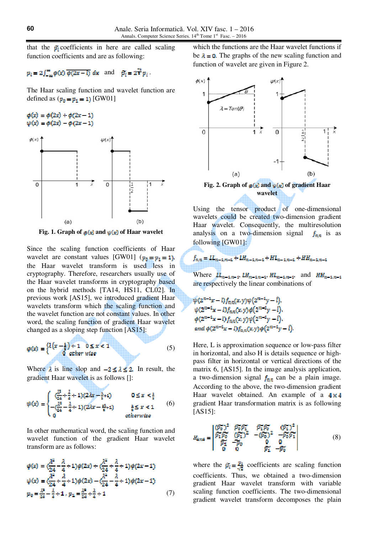that the  $\tilde{p}_i$  coefficients in here are called scaling function coefficients and are as following:

$$
p_i = 2 \int_{-\infty}^{\infty} \phi(x) \overline{\phi(2x-l)} dx
$$
 and  $\overline{\beta}_i = 2\overline{x} p_i$ .

The Haar scaling function and wavelet function are defined as  $(p_0 = p_1 = 1)$  [GW01]

$$
\phi(x) = \phi(2x) + \phi(2x - 1) \n\psi(x) = \phi(2x) - \phi(2x - 1)
$$



**Fig. 1. Graph of**  $\phi(x)$  **and**  $\psi(x)$  **of Haar wavelet** 

Since the scaling function coefficients of Haar wavelet are constant values [GW01]  $(p_0 = p_1 = 1)$ , the Haar wavelet transform is used less in cryptography. Therefore, researchers usually use of the Haar wavelet transforms in cryptography based on the hybrid methods [TA14, HS11, CL02]. In previous work [AS15], we introduced gradient Haar wavelets transform which the scaling function and the wavelet function are not constant values. In other word, the scaling function of gradient Haar wavelet changed as a sloping step function [AS15]:

$$
\phi(x) = \begin{cases} \lambda \left(x - \frac{1}{x}\right) + 1 & 0 \le x < 1 \\ 0 & \text{other wise} \end{cases}
$$
 (5)

Where  $\lambda$  is line slop and  $-2 \leq \lambda \leq 2$ . In result, the gradient Haar wavelet is as follows []:

$$
\psi(x) = \begin{cases}\n\frac{\lambda^2}{24} + \frac{\lambda}{4} + 1 & 0 \le x < \frac{3}{2} \\
-\frac{\lambda^2}{24} - \frac{\lambda}{4} + 1 & \frac{3\lambda}{2} + 1 \\
0 & \text{otherwise}\n\end{cases}
$$
\n
$$
(6)
$$

In other mathematical word, the scaling function and wavelet function of the gradient Haar wavelet transform are as follows:

$$
\varphi(x) = \left(\frac{\lambda^2}{24} - \frac{\lambda}{4} + 1\right)\varphi(2x) + \left(\frac{\lambda^2}{24} + \frac{\lambda}{4} + 1\right)\varphi(2x - 1)
$$
  
\n
$$
\psi(x) = \left(\frac{\lambda^2}{24} + \frac{\lambda}{4} + 1\right)\varphi(2x) - \left(\frac{\lambda^2}{24} - \frac{\lambda}{4} + 1\right)\varphi(2x - 1)
$$
  
\n
$$
p_0 = \frac{\lambda^2}{24} - \frac{\lambda}{4} + 1, \ p_1 = \frac{\lambda^2}{24} + \frac{\lambda}{4} + 1 \tag{7}
$$

which the functions are the Haar wavelet functions if be  $\lambda = 0$ . The graphs of the new scaling function and function of wavelet are given in Figure 2.



**wavelet** 

Using the tensor product of one-dimensional wavelets could be created two-dimension gradient Haar wavelet. Consequently, the multiresolution analysis on a two-dimension signal  $f_{n,n}$  is as following [GW01]:

$$
f_{n,n} = LL_{n-1,n-1} + LH_{n-1,n-1} + HL_{n-1,n-1} + HH_{n-1,n-1}
$$

Where  $LL_{n-1,n-1}$ ,  $LL_{n-1,n-1}$ ,  $HL_{n-1,n-1}$ , and  $HH_{n-1,n-1}$ are respectively the linear combinations of

 $\psi(2^{n-1}x-l)f_{n,n}(x,y)\psi(2^{n-1}y-l),$  $\psi(2^{n-1}x-l)f_{nn}(x,y)\phi(2^{n-1}y-l),$  $\phi(2^{n-1}x-l)f_{nn}(x,y)\psi\big(2^{n-1}y-l\big),$ and  $\phi(2^{n-1}x - l)f_{n,n}(x, y)\phi(2^{n-1}y - l)$ 

Here, L is approximation sequence or low-pass filter in horizontal, and also H is details sequence or highpass filter in horizontal or vertical directions of the matrix 6, [AS15]. In the image analysis application, a two-dimension signal  $f_{\text{max}}$  can be a plain image. According to the above, the two-dimension gradient Haar wavelet obtained. An example of a  $4 \times 4$ gradient Haar transformation matrix is as following [AS15]:

$$
H_{4 \times 4} = \begin{vmatrix} (\widetilde{p}_{0}^{2})^{2} & \widetilde{p}_{0}^{2} \widetilde{p}_{1}^{2} & \widetilde{p}_{1}^{2} \widetilde{p}_{0}^{2} & (\widetilde{p}_{1}^{2})^{2} \\ \widetilde{p}_{1}^{2} \widetilde{p}_{0}^{2} & (\widetilde{p}_{1}^{2})^{2} & -(\widetilde{p}_{0}^{2})^{2} & -\widetilde{p}_{0}^{2} \widetilde{p}_{1}^{2} \\ \widetilde{p}_{1}^{2} & -\widetilde{p}_{0}^{2} & 0 & 0 \\ 0 & 0 & \widetilde{p}_{1}^{2} & -\widetilde{p}_{0}^{2} \end{vmatrix}
$$
(8)

where the  $\vec{p}_i = \frac{p_i}{\sqrt{2}}$  coefficients are scaling function coefficients. Thus, we obtained a two-dimension gradient Haar wavelet transform with variable scaling function coefficients. The two-dimensional gradient wavelet transform decomposes the plain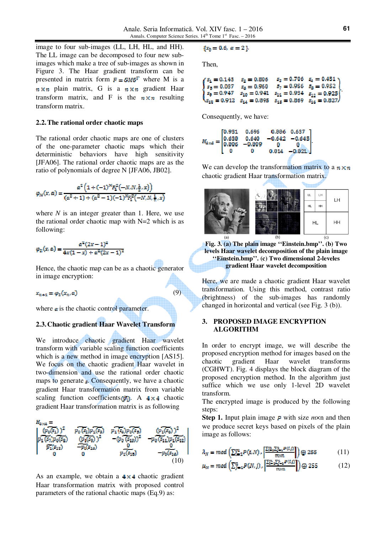image to four sub-images (LL, LH, HL, and HH). The LL image can be decomposed to four new subimages which make a tree of sub-images as shown in Figure 3. The Haar gradient transform can be presented in matrix form  $F = GMG<sup>T</sup>$  where M is a  $n \times n$  plain matrix, G is a  $n \times n$  gradient Haar transform matrix, and F is the  $n \times n$  resulting transform matrix.

### **2.2.The rational order chaotic maps**

The rational order chaotic maps are one of clusters of the one-parameter chaotic maps which their deterministic behaviors have high sensitivity [JFA06]. The rational order chaotic maps are as the ratio of polynomials of degree N [JFA06, JB02].

$$
\varphi_N(x,a) = \frac{a^2 \left(1 + (-1)^N F_1^2(-N, N, \frac{1}{2}, x)\right)}{(a^2 + 1) + (a^2 - 1)(-1)^N F_1^2(-N, N, \frac{1}{2}, x)}
$$

where *N* is an integer greater than 1. Here, we use the rational order chaotic map with  $N=2$  which is as following:

$$
\varphi_2(x, a) = \frac{a^2(2x - 1)^2}{4x(1 - x) + a^2(2x - 1)^2}
$$

Hence, the chaotic map can be as a chaotic generator in image encryption:

$$
x_{n+1} = \varphi_2(x_n, a) \tag{9}
$$

where  $\alpha$  is the chaotic control parameter.

# **2.3.Chaotic gradient Haar Wavelet Transform**

We introduce chaotic gradient Haar wavelet transform with variable scaling function coefficients which is a new method in image encryption [AS15]. We focus on the chaotic gradient Haar wavelet in two-dimension and use the rational order chaotic maps to generate  $\epsilon$ . Consequently, we have a chaotic gradient Haar transformation matrix from variable scaling function coefficients  $\hat{p}_i$ . A 4 x 4 chaotic gradient Haar transformation matrix is as following



As an example, we obtain a  $4 \times 4$  chaotic gradient Haar transformation matrix with proposed control parameters of the rational chaotic maps (Eq.9) as:

$$
\{x_0 = 0.6, \alpha = 2\}.
$$

Then,

| $s_1 = 0.143$ | $s_x=0.806$   | $s_{2} = 0.706$ $s_{4} = 0.451$ \                                        |
|---------------|---------------|--------------------------------------------------------------------------|
| ) $s_5=0.037$ | $s_8 = 0.960$ | $s_7 = 0.956$ $s_8 = 0.952$ (                                            |
| $s_9 = 0.947$ |               | $s_{10} = 0.941$ $s_{11} = 0.934$ $s_{12} = 0.925$                       |
|               |               | $N_{s_{12}} = 0.912$ $s_{14} = 0.895$ $s_{15} = 0.869$ $s_{16} = 0.8277$ |

Consequently, we have:



We can develop the transformation matrix to a  $n \times n$ chaotic gradient Haar transformation matrix.



**Fig. 3. (a) The plain image ''Einstein.bmp''. (b) Two levels Haar wavelet decomposition of the plain image ''Einstein.bmp''. (c) Two dimensional 2-leveles gradient Haar wavelet decomposition** 

Here, we are made a chaotic gradient Haar wavelet transformation. Using this method, contrast ratio (brightness) of the sub-images has randomly changed in horizontal and vertical (see Fig. 3 (b)).

# **3. PROPOSED IMAGE ENCRYPTION ALGORITHM**

In order to encrypt image, we will describe the proposed encryption method for images based on the chaotic gradient Haar wavelet transforms (CGHWT). Fig. 4 displays the block diagram of the proposed encryption method. In the algorithm just suffice which we use only 1-level 2D wavelet transform.

The encrypted image is produced by the following steps:

**Step 1.** Input plain image  $\vec{p}$  with size  $m \times n$  and then we produce secret keys based on pixels of the plain image as follows:

$$
\lambda_N = mod \left( \sum_{i=1}^{m} P(i,N) \cdot \left( \frac{\sum_{i=1}^{m} \sum_{j=1}^{n} P(i,j)}{\sum_{i=1}^{m} P(i)} \right) \bigoplus 255 \tag{11}
$$

$$
\mu_N = mod \left( \sum_{j=1}^n P(N, j) \right) \cdot \left| \frac{\sum_{i=1}^n \sum_{j=1}^n P(i, j)}{m \times n} \right| \right) \oplus 255 \tag{12}
$$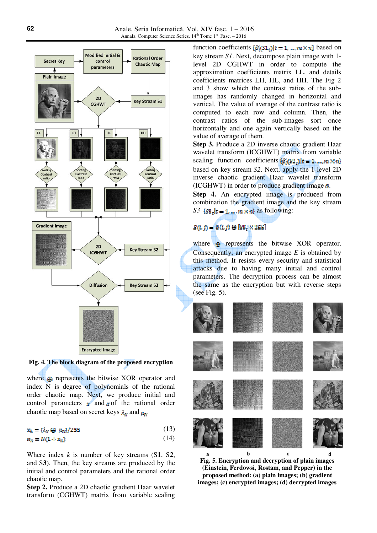

**Fig. 4. The block diagram of the proposed encryption**

where  $\oplus$  represents the bitwise XOR operator and index N is degree of polynomials of the rational order chaotic map. Next, we produce initial and control parameters  $\mathbf{x}^{\prime}$  and  $\mathbf{\alpha}$  of the rational order chaotic map based on secret keys  $\lambda_N$  and  $\mu_N$ .

$$
\mathbf{x}_k = (\lambda_N \oplus \mu_N)/255 \tag{13}
$$

$$
\alpha_k = N(1 + x_k) \tag{14}
$$

Where index *k* is number of key streams (S**1**, S**2**, and S**3**). Then, the key streams are produced by the initial and control parameters and the rational order chaotic map.

**Step 2.** Produce a 2D chaotic gradient Haar wavelet transform (CGHWT) matrix from variable scaling

function coefficients  $\{\hat{p}_i(s_1, t)|t = 1, ..., m \times n\}$  based on key stream *S1*. Next, decompose plain image with 1 level 2D CGHWT in order to compute the approximation coefficients matrix LL, and details coefficients matrices LH, HL, and HH. The Fig 2 and 3 show which the contrast ratios of the subimages has randomly changed in horizontal and vertical. The value of average of the contrast ratio is computed to each row and column. Then, the contrast ratios of the sub-images sort once horizontally and one again vertically based on the value of average of them.

**Step 3.** Produce a 2D inverse chaotic gradient Haar wavelet transform (ICGHWT) matrix from variable scaling function coefficients  $\{\widetilde{p}_i(s_2)\}_{t=1,\dots,m} \times n\}$ based on key stream *S2*. Next, apply the 1-level 2D inverse chaotic gradient Haar wavelet transform (ICGHWT) in order to produce gradient image  $\mathcal{C}$ .

**Step 4.** An encrypted image is produ**c**ed from combination the gradient image and the key stream *S3*  ${S3_r}{t = 1, ..., m \times n}$  as following:

# $E(i, j) = G(i, j) \oplus [S3, X255]$

where  $\bigoplus$  represents the bitwise XOR operator. Consequently, an encrypted image *E* is obtained by this method. It resists every security and statistical attacks due to having many initial and control parameters. The decryption process can be almost the same as the encryption but with reverse steps (see Fig. 5).



**Fig. 5. Encryption and decryption of plain images (Einstein, Ferdowsi, Rostam, and Pepper) in the proposed method: (a) plain images; (b) gradient images; (c) encrypted images; (d) decrypted images**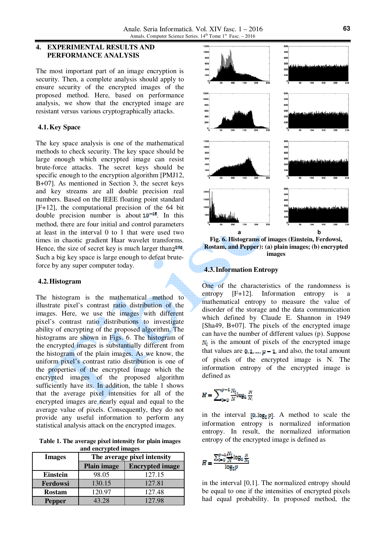## **4. EXPERIMENTAL RESULTS AND PERFORMANCE ANALYSIS**

The most important part of an image encryption is security. Then, a complete analysis should apply to ensure security of the encrypted images of the proposed method. Here, based on performance analysis, we show that the encrypted image are resistant versus various cryptographically attacks.

# **4.1.Key Space**

The key space analysis is one of the mathematical methods to check security. The key space should be large enough which encrypted image can resist brute-force attacks. The secret keys should be specific enough to the encryption algorithm [PMJ12, B+07]. As mentioned in Section 3, the secret keys and key streams are all double precision real numbers. Based on the IEEE floating point standard [F+12], the computational precision of the 64 bit double precision number is about  $10^{-15}$ . In this method, there are four initial and control parameters at least in the interval 0 to 1 that were used two times in chaotic gradient Haar wavelet transforms. Hence, the size of secret key is much larger than  $2^{398}$ . Such a big key space is large enough to defeat bruteforce by any super computer today.

### **4.2.Histogram**

The histogram is the mathematical method to illustrate pixel's contrast ratio distribution of the images. Here, we use the images with different pixel's contrast ratio distributions to investigate ability of encrypting of the proposed algorithm. The histograms are shown in Figs. 6. The histogram of the encrypted images is substantially different from the histogram of the plain images. As we know, the uniform pixel's contrast ratio distribution is one of the properties of the encrypted image which the encrypted images of the proposed algorithm sufficiently have its. In addition, the table 1 shows that the average pixel intensities for all of the encrypted images are nearly equal and equal to the average value of pixels. Consequently, they do not provide any useful information to perform any statistical analysis attack on the encrypted images.

**Table 1. The average pixel intensity for plain images and encrypted images** 

| and the ypita images |                             |                        |  |  |
|----------------------|-----------------------------|------------------------|--|--|
| <b>Images</b>        | The average pixel intensity |                        |  |  |
|                      | <b>Plain image</b>          | <b>Encrypted image</b> |  |  |
| <b>Einstein</b>      | 98.05                       | 127.15                 |  |  |
| Ferdowsi             | 130.15                      | 127.81                 |  |  |
| <b>Rostam</b>        | 120.97                      | 127.48                 |  |  |
| <b>Pepper</b>        | 43.28                       | 127.98                 |  |  |



**Fig. 6. Histograms of images (Einstein, Ferdowsi, Rostam, and Pepper): (a) plain images; (b) encrypted images**

## **4.3.Information Entropy**

One of the characteristics of the randomness is entropy [F+12]. Information entropy is a mathematical entropy to measure the value of disorder of the storage and the data communication which defined by Claude E. Shannon in 1949 [Sha49, B+07]. The pixels of the encrypted image can have the number of different values (p). Suppose  $N_i$  is the amount of pixels of the encrypted image that values are  $0, 1, ..., p-1$ , and also, the total amount of pixels of the encrypted image is N. The information entropy of the encrypted image is defined as

$$
H = \sum_{i=0}^{p-1} \frac{N_i}{N} \log_2 \frac{N}{N_i}
$$

in the interval  $[0, \log_2 p]$ . A method to scale the information entropy is normalized information entropy. In result, the normalized information entropy of the encrypted image is defined as

$$
H = \frac{\sum_{i=0}^{p-1} \frac{N_i}{N} \log_2 \frac{N_i}{N_i}}{\log_2 p}
$$

in the interval [0,1]. The normalized entropy should be equal to one if the intensities of encrypted pixels had equal probability. In proposed method, the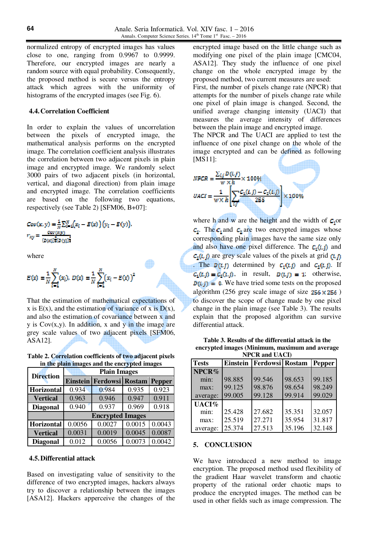normalized entropy of encrypted images has values close to one, ranging from 0.9967 to 0.9999. Therefore, our encrypted images are nearly a random source with equal probability. Consequently, the proposed method is secure versus the entropy attack which agrees with the uniformity of histograms of the encrypted images (see Fig. 6).

### **4.4.Correlation Coefficient**

In order to explain the values of uncorrelation between the pixels of encrypted image, the mathematical analysis performs on the encrypted image. The correlation coefficient analysis illustrates the correlation between two adjacent pixels in plain image and encrypted image. We randomly select 3000 pairs of two adjacent pixels (in horizontal, vertical, and diagonal direction) from plain image and encrypted image. The correlation coefficients are based on the following two equations, respectively (see Table 2) [SFM06, B+07]:

$$
Cov(x, y) = \frac{1}{N} \sum_{i=1}^{N} (x_i - E(x)) (y_i - E(y)),
$$
  

$$
r_{xy} = \frac{cov(x, y)}{(v(x))\overline{x}(v(y))}.
$$

where

$$
E(x) = \frac{1}{N} \sum_{i=1}^{N} (x_i), D(x) = \frac{1}{N} \sum_{i=1}^{N} (x_i - E(x))^2
$$

That the estimation of mathematical expectations of x is  $E(x)$ , and the estimation of variance of x is  $D(x)$ , and also the estimation of covariance between x and  $y$  is  $Cov(x,y)$ . In addition, x and  $y$  in the image are grey scale values of two adjacent pixels [SFM06, ASA12].

**Table 2. Correlation coefficients of two adjacent pixels in the plain images and the encrypted images** 

| <b>Direction</b> | <b>Plain Images</b>     |                                 |        |        |
|------------------|-------------------------|---------------------------------|--------|--------|
|                  |                         | <b>Einstein Ferdowsi Rostam</b> |        | Pepper |
| Horizontal       | 0.934                   | 0.984                           | 0.935  | 0.923  |
| <b>Vertical</b>  | 0.963                   | 0.946                           | 0.947  | 0.911  |
| <b>Diagonal</b>  | 0.940                   | 0.937                           | 0.969  | 0.918  |
|                  | <b>Encrypted Images</b> |                                 |        |        |
| Horizontal       | 0.0056                  | 0.0027                          | 0.0015 | 0.0043 |
| <b>Vertical</b>  | 0.0031                  | 0.0019                          | 0.0045 | 0.0087 |
| <b>Diagonal</b>  | 0.012                   | 0.0056                          | 0.0073 | 0.0042 |

#### **4.5.Differential attack**

Based on investigating value of sensitivity to the difference of two encrypted images, hackers always try to discover a relationship between the images [ASA12]. Hackers apperceive the changes of the

encrypted image based on the little change such as modifying one pixel of the plain image [CMC04, ASA12]. They study the influence of one pixel change on the whole encrypted image by the proposed method, two current measures are used: First, the number of pixels change rate (NPCR) that attempts for the number of pixels change rate while

one pixel of plain image is changed. Second, the unified average changing intensity (UACI) that measures the average intensity of differences between the plain image and encrypted image.

The NPCR and The UACI are applied to test the influence of one pixel change on the whole of the image encrypted and can be defined as following [MS11]:

$$
NPCR = \frac{\sum_{i,j} D(i,j)}{w \times h} \times 100\%
$$
  

$$
UACI = \frac{1}{w \times h} \left[ \sum_{i,j} \frac{C_1(i,j) - C_2(i,j)}{255} \right] \times 100\%
$$

where h and w are the height and the width of  $C_1$ or  $c_1$ . The  $c_1$  and  $c_2$  are two encrypted images whose corresponding plain images have the same size only and also have one pixel difference. The  $c_1(i,j)$  and  $c_2(i, j)$  are grey scale values of the pixels at grid  $(i, j)$ . The  $p(t, j)$  determined by  $c_1(t, j)$  and  $c_2(t, j)$ . If  $c_1(t, j) = c_2(t, j)$ , in result,  $D(t, j) = 1$ ; otherwise,  $\mathbf{D}(\mathbf{i}, \mathbf{j}) = 0$ . We have tried some tests on the proposed algorithm (256 grey scale image of size  $256 \times 256$ ) to discover the scope of change made by one pixel change in the plain image (see Table 3). The results explain that the proposed algorithm can survive differential attack.

**Table 3. Results of the differential attack in the encrypted images (Minimum, maximum and average NPCR and UACI)** 

| INFUN AHU UAUI) |        |                              |        |               |  |  |  |
|-----------------|--------|------------------------------|--------|---------------|--|--|--|
| <b>Tests</b>    |        | Einstein   Ferdowsi   Rostam |        | <b>Pepper</b> |  |  |  |
| NPCR%           |        |                              |        |               |  |  |  |
| min:            | 98.885 | 99.546                       | 98.653 | 99.185        |  |  |  |
| max:            | 99.125 | 98.876                       | 98.654 | 98.249        |  |  |  |
| average:        | 99.005 | 99.128                       | 99.914 | 99.029        |  |  |  |
| UACI%           |        |                              |        |               |  |  |  |
| min:            | 25.428 | 27.682                       | 35.351 | 32.057        |  |  |  |
| max:            | 25.519 | 27.271                       | 35.954 | 31.817        |  |  |  |
| average:        | 25.374 | 27.513                       | 35.196 | 32.148        |  |  |  |

### **5. CONCLUSION**

We have introduced a new method to image encryption. The proposed method used flexibility of the gradient Haar wavelet transform and chaotic property of the rational order chaotic maps to produce the encrypted images. The method can be used in other fields such as image compression. The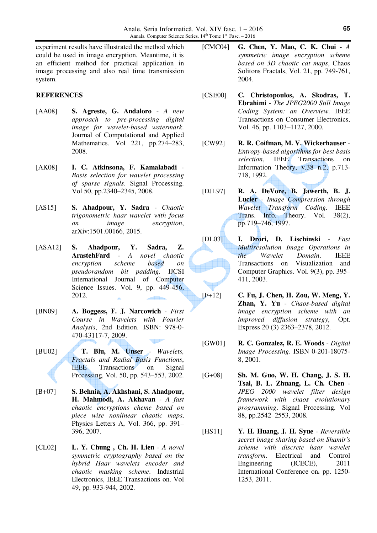experiment results have illustrated the method which could be used in image encryption. Meantime, it is an efficient method for practical application in image processing and also real time transmission system.

### **REFERENCES**

- [AA08] **S. Agreste, G. Andaloro** *A new approach to pre-processing digital image for wavelet-based watermark*. Journal of Computational and Applied Mathematics. Vol 221, pp.274–283, 2008.
- [AK08] **I. C. Atkinsona, F. Kamalabadi** *Basis selection for wavelet processing of sparse signals*. Signal Processing. Vol 50, pp.2340–2345, 2008.
- [AS15] **S. Ahadpour, Y. Sadra** *Chaotic trigonometric haar wavelet with focus on image encryption*, arXiv:1501.00166, 2015.
- [ASA12] **S. Ahadpour, Y. Sadra, Z. ArastehFard** - *A novel chaotic encryption scheme based on pseudorandom bit padding*. IJCSI International Journal of Computer Science Issues. Vol. 9, pp. 449-456, 2012.
- [BN09] **A. Boggess, F. J. Narcowich** *First Course in Wavelets with Fourier Analysis*, 2nd Edition. ISBN: 978-0- 470-43117-7, 2009.
- [BU02] **T. Blu, M. Unser** *Wavelets, Fractals and Radial Basis Functions*, **IEEE** Transactions on Signal Processing, Vol. 50, pp. 543–553, 2002.
- [B+07] **S. Behnia, A. Akhshani, S. Ahadpour, H. Mahmodi, A. Akhavan** - *A fast chaotic encryptions cheme based on piece wise nonlinear chaotic maps*, Physics Letters A, Vol. 366, pp. 391– 396, 2007.
- [CL02] **L. Y. Chung , Ch. H. Lien** *A novel symmetric cryptography based on the hybrid Haar wavelets encoder and chaotic masking scheme*. Industrial Electronics, IEEE Transactions on. Vol 49, pp. 933-944, 2002.
- [CMC04] **G. Chen, Y. Mao, C. K. Chui** *A symmetric image encryption scheme based on 3D chaotic cat maps*, Chaos Solitons Fractals, Vol. 21, pp. 749-761, 2004.
- [CSE00] **C. Christopoulos, A. Skodras, T. Ebrahimi** - *The JPEG2000 Still Image Coding System: an Overview*. IEEE Transactions on Consumer Electronics, Vol. 46, pp. 1103–1127, 2000.
- [CW92] **R. R. Coifman, M. V. Wickerhauser** *Entropy-based algorithms for best basis selection*, IEEE Transactions on Information Theory, v.38 n.2, p.713- 718, 1992.
- [DJL97] **R. A. DeVore, B. Jawerth, B. J. Lucier** - *Image Compression through Wavelet Transform Coding*. IEEE Trans. Info. Theory. Vol. 38(2), pp.719–746, 1997.
- [DL03] **I. Drori, D. Lischinski** *Fast Multiresolution Image Operations in the Wavelet Domain*. IEEE Transactions on Visualization and Computer Graphics. Vol. 9(3), pp. 395– 411, 2003.
- [F+12] **C. Fu, J. Chen, H. Zou, W. Meng, Y. Zhan, Y. Yu** - *Chaos-based digital image encryption scheme with an improved diffusion strategy*, Opt. Express 20 (3) 2363–2378, 2012.
- [GW01] **R. C. Gonzalez, R. E. Woods** *Digital Image Processing*. ISBN 0-201-18075- 8, 2001.
- [G+08] **Sh. M. Guo, W. H. Chang, J. S. H. Tsai, B. L. Zhuang, L. Ch. Chen** - *JPEG 2000 wavelet filter design framework with chaos evolutionary programming*. Signal Processing. Vol 88, pp.2542–2553, 2008.
- [HS11] **Y. H. Huang, J. H. Syue** *Reversible secret image sharing based on Shamir's scheme with discrete haar wavelet transform*. Electrical and Control Engineering (ICECE), 2011 International Conference on**.** pp. 1250- 1253, 2011.